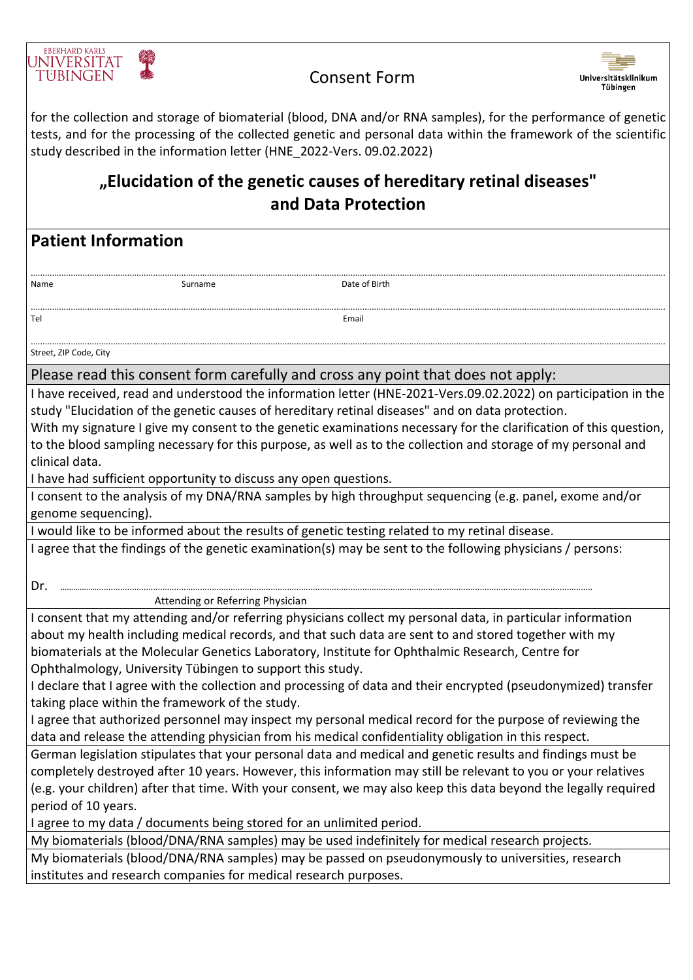

## Consent Form



for the collection and storage of biomaterial (blood, DNA and/or RNA samples), for the performance of genetic tests, and for the processing of the collected genetic and personal data within the framework of the scientific study described in the information letter (HNE\_2022-Vers. 09.02.2022)

## **"Elucidation of the genetic causes of hereditary retinal diseases" and Data Protection**

**Patient Information**

..............................................................................................................................................................................................................................................................................

Name **Name Contains a Surname Container a Surname Date of Birth** ..............................................................................................................................................................................................................................................................................

.............................................................................................................................................................................................................................................................................. Street, ZIP Code, City

Please read this consent form carefully and cross any point that does not apply:

I have received, read and understood the information letter (HNE-2021-Vers.09.02.2022) on participation in the study "Elucidation of the genetic causes of hereditary retinal diseases" and on data protection.

With my signature I give my consent to the genetic examinations necessary for the clarification of this question, to the blood sampling necessary for this purpose, as well as to the collection and storage of my personal and clinical data.

I have had sufficient opportunity to discuss any open questions.

Tel **Email** 

I consent to the analysis of my DNA/RNA samples by high throughput sequencing (e.g. panel, exome and/or genome sequencing).

I would like to be informed about the results of genetic testing related to my retinal disease.

I agree that the findings of the genetic examination(s) may be sent to the following physicians / persons:

Dr. ……………….................................................................................................................................................................................................................. Attending or Referring Physician

I consent that my attending and/or referring physicians collect my personal data, in particular information about my health including medical records, and that such data are sent to and stored together with my biomaterials at the Molecular Genetics Laboratory, Institute for Ophthalmic Research, Centre for Ophthalmology, University Tübingen to support this study.

I declare that I agree with the collection and processing of data and their encrypted (pseudonymized) transfer taking place within the framework of the study.

I agree that authorized personnel may inspect my personal medical record for the purpose of reviewing the data and release the attending physician from his medical confidentiality obligation in this respect.

German legislation stipulates that your personal data and medical and genetic results and findings must be completely destroyed after 10 years. However, this information may still be relevant to you or your relatives (e.g. your children) after that time. With your consent, we may also keep this data beyond the legally required period of 10 years.

I agree to my data / documents being stored for an unlimited period.

My biomaterials (blood/DNA/RNA samples) may be used indefinitely for medical research projects.

My biomaterials (blood/DNA/RNA samples) may be passed on pseudonymously to universities, research institutes and research companies for medical research purposes.